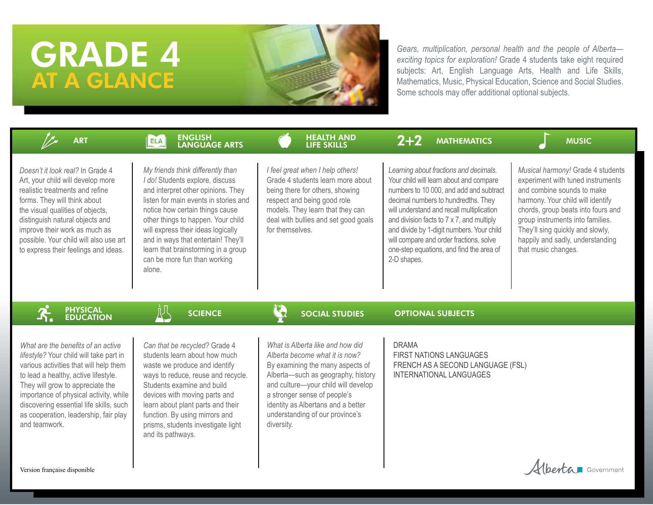# GRADE 4 AT A GLANCE

*Gears, multiplication, personal health and the people of Alberta exciting topics for exploration!* Grade 4 students take eight required subjects: Art, English Language Arts, Health and Life Skills, Mathematics, Music, Physical Education, Science and Social Studies. Some schools may offer additional optional subjects.

| <b>ART</b>                                                                                                                                                                                                                                                                                                                                         | <b>ENGLISH</b><br><b>LANGUAGE ARTS</b>                                                                                                                                                                                                                                                                                                                                                     | <b>HEALTH AND</b><br><b>LIFE SKILLS</b>                                                                                                                                                                                                                                                                    | $2 + 2$<br><b>MATHEMATICS</b>                                                                                                                                                                                                                                                                                                                                                                                    | <b>MUSIC</b>                                                                                                                                                                                                                                                                                                       |
|----------------------------------------------------------------------------------------------------------------------------------------------------------------------------------------------------------------------------------------------------------------------------------------------------------------------------------------------------|--------------------------------------------------------------------------------------------------------------------------------------------------------------------------------------------------------------------------------------------------------------------------------------------------------------------------------------------------------------------------------------------|------------------------------------------------------------------------------------------------------------------------------------------------------------------------------------------------------------------------------------------------------------------------------------------------------------|------------------------------------------------------------------------------------------------------------------------------------------------------------------------------------------------------------------------------------------------------------------------------------------------------------------------------------------------------------------------------------------------------------------|--------------------------------------------------------------------------------------------------------------------------------------------------------------------------------------------------------------------------------------------------------------------------------------------------------------------|
| Doesn't it look real? In Grade 4<br>Art, your child will develop more<br>realistic treatments and refine<br>forms. They will think about<br>the visual qualities of objects,<br>distinguish natural objects and<br>improve their work as much as<br>possible. Your child will also use art<br>to express their feelings and ideas.                 | My friends think differently than<br>I do! Students explore, discuss<br>and interpret other opinions. They<br>listen for main events in stories and<br>notice how certain things cause<br>other things to happen. Your child<br>will express their ideas logically<br>and in ways that entertain! They'll<br>learn that brainstorming in a group<br>can be more fun than working<br>alone. | I feel great when I help others!<br>Grade 4 students learn more about<br>being there for others, showing<br>respect and being good role<br>models. They learn that they can<br>deal with bullies and set good goals<br>for themselves.                                                                     | Learning about fractions and decimals.<br>Your child will learn about and compare<br>numbers to 10 000, and add and subtract<br>decimal numbers to hundredths. They<br>will understand and recall multiplication<br>and division facts to 7 x 7, and multiply<br>and divide by 1-digit numbers. Your child<br>will compare and order fractions, solve<br>one-step equations, and find the area of<br>2-D shapes. | Musical harmony! Grade 4 students<br>experiment with tuned instruments<br>and combine sounds to make<br>harmony. Your child will identify<br>chords, group beats into fours and<br>group instruments into families.<br>They'll sing quickly and slowly,<br>happily and sadly, understanding<br>that music changes. |
| <b>PHYSICAL<br/>EDUCATION</b>                                                                                                                                                                                                                                                                                                                      | 趴<br><b>SCIENCE</b>                                                                                                                                                                                                                                                                                                                                                                        | $\mathbf{G}$<br><b>SOCIAL STUDIES</b>                                                                                                                                                                                                                                                                      | <b>OPTIONAL SUBJECTS</b>                                                                                                                                                                                                                                                                                                                                                                                         |                                                                                                                                                                                                                                                                                                                    |
| What are the benefits of an active<br>lifestyle? Your child will take part in<br>various activities that will help them<br>to lead a healthy, active lifestyle.<br>They will grow to appreciate the<br>importance of physical activity, while<br>discovering essential life skills, such<br>as cooperation, leadership, fair play<br>and teamwork. | Can that be recycled? Grade 4<br>students learn about how much<br>waste we produce and identify<br>ways to reduce, reuse and recycle.<br>Students examine and build<br>devices with moving parts and<br>learn about plant parts and their<br>function. By using mirrors and<br>prisms, students investigate light<br>and its pathways.                                                     | What is Alberta like and how did<br>Alberta become what it is now?<br>By examining the many aspects of<br>Alberta-such as geography, history<br>and culture-your child will develop<br>a stronger sense of people's<br>identity as Albertans and a better<br>understanding of our province's<br>diversity. | <b>DRAMA</b><br>FIRST NATIONS LANGUAGES<br>FRENCH AS A SECOND LANGUAGE (FSL)<br><b>INTERNATIONAL LANGUAGES</b>                                                                                                                                                                                                                                                                                                   |                                                                                                                                                                                                                                                                                                                    |
| Version française disponible                                                                                                                                                                                                                                                                                                                       |                                                                                                                                                                                                                                                                                                                                                                                            |                                                                                                                                                                                                                                                                                                            |                                                                                                                                                                                                                                                                                                                                                                                                                  | Mberta Government                                                                                                                                                                                                                                                                                                  |